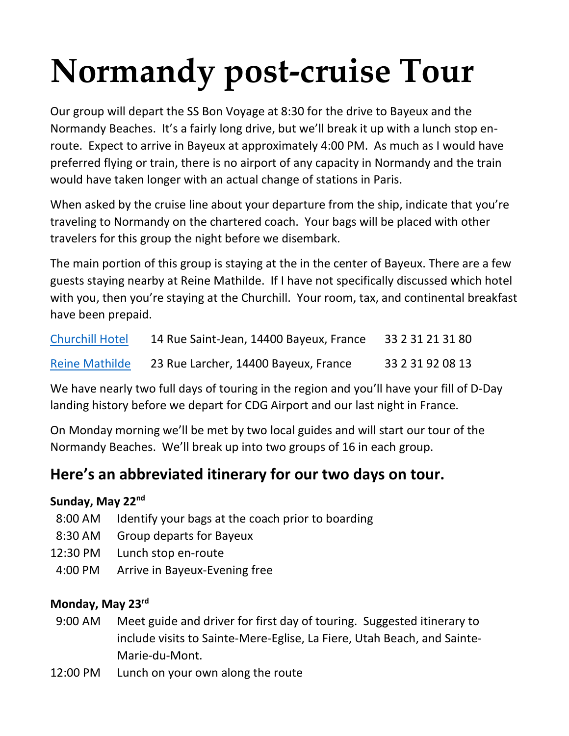# **Normandy post-cruise Tour**

Our group will depart the SS Bon Voyage at 8:30 for the drive to Bayeux and the Normandy Beaches. It's a fairly long drive, but we'll break it up with a lunch stop enroute. Expect to arrive in Bayeux at approximately 4:00 PM. As much as I would have preferred flying or train, there is no airport of any capacity in Normandy and the train would have taken longer with an actual change of stations in Paris.

When asked by the cruise line about your departure from the ship, indicate that you're traveling to Normandy on the chartered coach. Your bags will be placed with other travelers for this group the night before we disembark.

The main portion of this group is staying at the in the center of Bayeux. There are a few guests staying nearby at Reine Mathilde. If I have not specifically discussed which hotel with you, then you're staying at the Churchill. Your room, tax, and continental breakfast have been prepaid.

| <b>Churchill Hotel</b> | 14 Rue Saint-Jean, 14400 Bayeux, France | 33 2 31 21 31 80 |
|------------------------|-----------------------------------------|------------------|
| <b>Reine Mathilde</b>  | 23 Rue Larcher, 14400 Bayeux, France    | 33 2 31 92 08 13 |

We have nearly two full days of touring in the region and you'll have your fill of D-Day landing history before we depart for CDG Airport and our last night in France.

On Monday morning we'll be met by two local guides and will start our tour of the Normandy Beaches. We'll break up into two groups of 16 in each group.

# **Here's an abbreviated itinerary for our two days on tour.**

### **Sunday, May 22nd**

- 8:00 AM Identify your bags at the coach prior to boarding
- 8:30 AM Group departs for Bayeux
- 12:30 PM Lunch stop en-route
- 4:00 PM Arrive in Bayeux-Evening free

### **Monday, May 23rd**

- 9:00 AM Meet guide and driver for first day of touring. Suggested itinerary to include visits to Sainte-Mere-Eglise, La Fiere, Utah Beach, and Sainte-Marie-du-Mont.
- 12:00 PM Lunch on your own along the route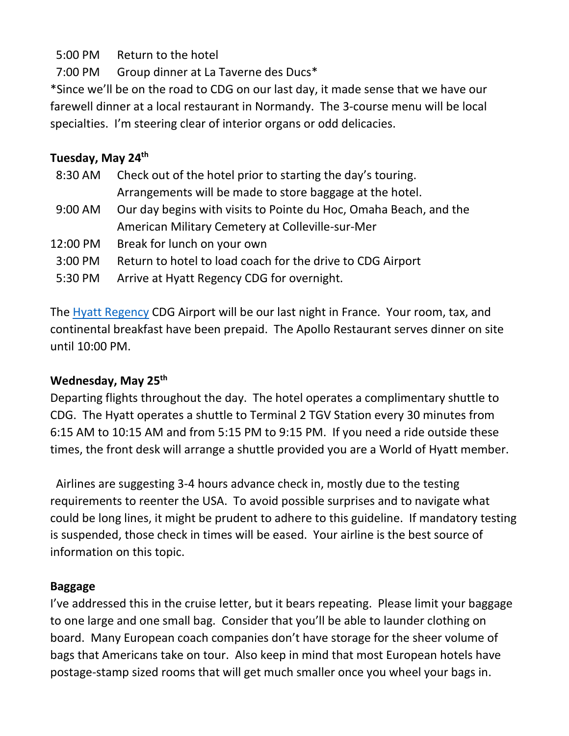## 5:00 PM Return to the hotel

7:00 PM Group dinner at La Taverne des Ducs\*

\*Since we'll be on the road to CDG on our last day, it made sense that we have our farewell dinner at a local restaurant in Normandy. The 3-course menu will be local specialties. I'm steering clear of interior organs or odd delicacies.

#### **Tuesday, May 24th**

- 8:30 AM Check out of the hotel prior to starting the day's touring. Arrangements will be made to store baggage at the hotel. 9:00 AM Our day begins with visits to Pointe du Hoc, Omaha Beach, and the
- American Military Cemetery at Colleville-sur-Mer
- 12:00 PM Break for lunch on your own
- 3:00 PM Return to hotel to load coach for the drive to CDG Airport
- 5:30 PM Arrive at Hyatt Regency CDG for overnight.

The [Hyatt Regency](https://www.hyatt.com/en-US/hotel/france/hyatt-regency-paris-charles-de-gaulle/paris) CDG Airport will be our last night in France. Your room, tax, and continental breakfast have been prepaid. The Apollo Restaurant serves dinner on site until 10:00 PM.

### **Wednesday, May 25th**

Departing flights throughout the day. The hotel operates a complimentary shuttle to CDG. The Hyatt operates a shuttle to Terminal 2 TGV Station every 30 minutes from 6:15 AM to 10:15 AM and from 5:15 PM to 9:15 PM. If you need a ride outside these times, the front desk will arrange a shuttle provided you are a World of Hyatt member.

 Airlines are suggesting 3-4 hours advance check in, mostly due to the testing requirements to reenter the USA. To avoid possible surprises and to navigate what could be long lines, it might be prudent to adhere to this guideline. If mandatory testing is suspended, those check in times will be eased. Your airline is the best source of information on this topic.

### **Baggage**

I've addressed this in the cruise letter, but it bears repeating. Please limit your baggage to one large and one small bag. Consider that you'll be able to launder clothing on board. Many European coach companies don't have storage for the sheer volume of bags that Americans take on tour. Also keep in mind that most European hotels have postage-stamp sized rooms that will get much smaller once you wheel your bags in.